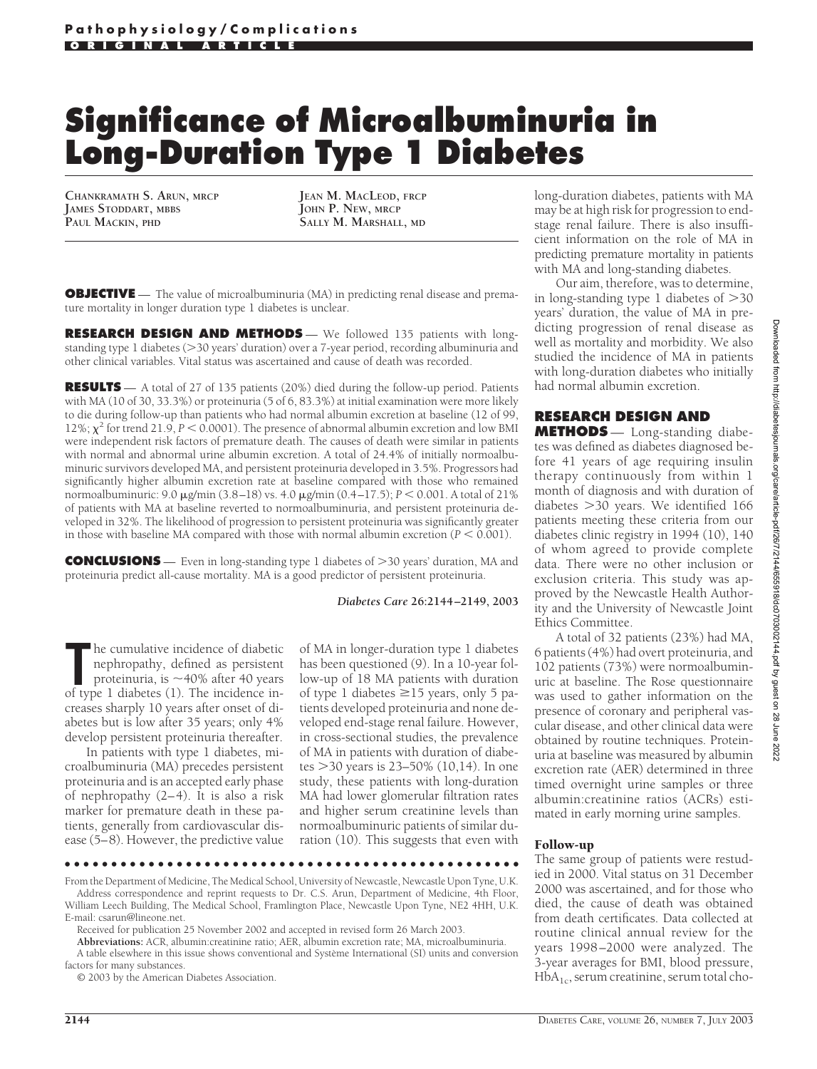# **Significance of Microalbuminuria in Long-Duration Type 1 Diabetes**

**CHANKRAMATH S. ARUN, MRCP JAMES STODDART, MBBS PAUL MACKIN, PHD**

**JEAN M. MACLEOD, FRCP JOHN P. NEW, MRCP SALLY M. MARSHALL, MD**

**OBJECTIVE** — The value of microalbuminuria (MA) in predicting renal disease and premature mortality in longer duration type 1 diabetes is unclear.

**RESEARCH DESIGN AND METHODS** — We followed 135 patients with longstanding type 1 diabetes ( $>$ 30 years' duration) over a 7-year period, recording albuminuria and other clinical variables. Vital status was ascertained and cause of death was recorded.

**RESULTS** — A total of 27 of 135 patients (20%) died during the follow-up period. Patients with MA (10 of 30, 33.3%) or proteinuria (5 of 6, 83.3%) at initial examination were more likely to die during follow-up than patients who had normal albumin excretion at baseline (12 of 99, 12%;  $\chi^2$  for trend 21.9, *P* < 0.0001). The presence of abnormal albumin excretion and low BMI were independent risk factors of premature death. The causes of death were similar in patients with normal and abnormal urine albumin excretion. A total of 24.4% of initially normoalbuminuric survivors developed MA, and persistent proteinuria developed in 3.5%. Progressors had significantly higher albumin excretion rate at baseline compared with those who remained normoalbuminuric: 9.0 µg/min (3.8–18) vs. 4.0 µg/min (0.4–17.5);  $P < 0.001$ . A total of 21% of patients with MA at baseline reverted to normoalbuminuria, and persistent proteinuria developed in 32%. The likelihood of progression to persistent proteinuria was significantly greater in those with baseline MA compared with those with normal albumin excretion  $(P < 0.001)$ .

**CONCLUSIONS** — Even in long-standing type 1 diabetes of >30 years' duration, MA and proteinuria predict all-cause mortality. MA is a good predictor of persistent proteinuria.

#### *Diabetes Care* **26:2144–2149, 2003**

The cumulative incidence of diabetic<br>
nephropathy, defined as persistent<br>
proteinuria, is ~40% after 40 years<br>
of type 1 diabetes (1). The incidence inhe cumulative incidence of diabetic nephropathy, defined as persistent proteinuria, is  $\sim$  40% after 40 years creases sharply 10 years after onset of diabetes but is low after 35 years; only 4% develop persistent proteinuria thereafter.

In patients with type 1 diabetes, microalbuminuria (MA) precedes persistent proteinuria and is an accepted early phase of nephropathy (2–4). It is also a risk marker for premature death in these patients, generally from cardiovascular disease (5–8). However, the predictive value

of MA in longer-duration type 1 diabetes has been questioned (9). In a 10-year follow-up of 18 MA patients with duration of type 1 diabetes  $\geq$ 15 years, only 5 patients developed proteinuria and none developed end-stage renal failure. However, in cross-sectional studies, the prevalence of MA in patients with duration of diabetes  $>$ 30 years is 23–50% (10,14). In one study, these patients with long-duration MA had lower glomerular filtration rates and higher serum creatinine levels than normoalbuminuric patients of similar duration (10). This suggests that even with

●●●●●●●●●●●●●●●●●●●●●●●●●●●●●●●●●●●●●●●●●●●●●●●●● From the Department of Medicine, The Medical School, University of Newcastle, Newcastle Upon Tyne, U.K.

Address correspondence and reprint requests to Dr. C.S. Arun, Department of Medicine, 4th Floor, William Leech Building, The Medical School, Framlington Place, Newcastle Upon Tyne, NE2 4HH, U.K.

**Abbreviations:** ACR, albumin:creatinine ratio; AER, albumin excretion rate; MA, microalbuminuria. A table elsewhere in this issue shows conventional and Système International (SI) units and conversion factors for many substances.

© 2003 by the American Diabetes Association.

long-duration diabetes, patients with MA may be at high risk for progression to endstage renal failure. There is also insufficient information on the role of MA in predicting premature mortality in patients with MA and long-standing diabetes.

Our aim, therefore, was to determine, in long-standing type 1 diabetes of  $>$ 30 years' duration, the value of MA in predicting progression of renal disease as well as mortality and morbidity. We also studied the incidence of MA in patients with long-duration diabetes who initially had normal albumin excretion.

## **RESEARCH DESIGN AND**

**METHODS** — Long-standing diabetes was defined as diabetes diagnosed before 41 years of age requiring insulin therapy continuously from within 1 month of diagnosis and with duration of diabetes 30 years. We identified 166 patients meeting these criteria from our diabetes clinic registry in 1994 (10), 140 of whom agreed to provide complete data. There were no other inclusion or exclusion criteria. This study was approved by the Newcastle Health Authority and the University of Newcastle Joint Ethics Committee.

A total of 32 patients (23%) had MA, 6 patients (4%) had overt proteinuria, and 102 patients (73%) were normoalbuminuric at baseline. The Rose questionnaire was used to gather information on the presence of coronary and peripheral vascular disease, and other clinical data were obtained by routine techniques. Proteinuria at baseline was measured by albumin excretion rate (AER) determined in three timed overnight urine samples or three albumin:creatinine ratios (ACRs) estimated in early morning urine samples.

## Follow-up

The same group of patients were restudied in 2000. Vital status on 31 December 2000 was ascertained, and for those who died, the cause of death was obtained from death certificates. Data collected at routine clinical annual review for the years 1998–2000 were analyzed. The 3-year averages for BMI, blood pressure,  $HbA<sub>1c</sub>$ , serum creatinine, serum total cho-

E-mail: csarun@lineone.net.

Received for publication 25 November 2002 and accepted in revised form 26 March 2003.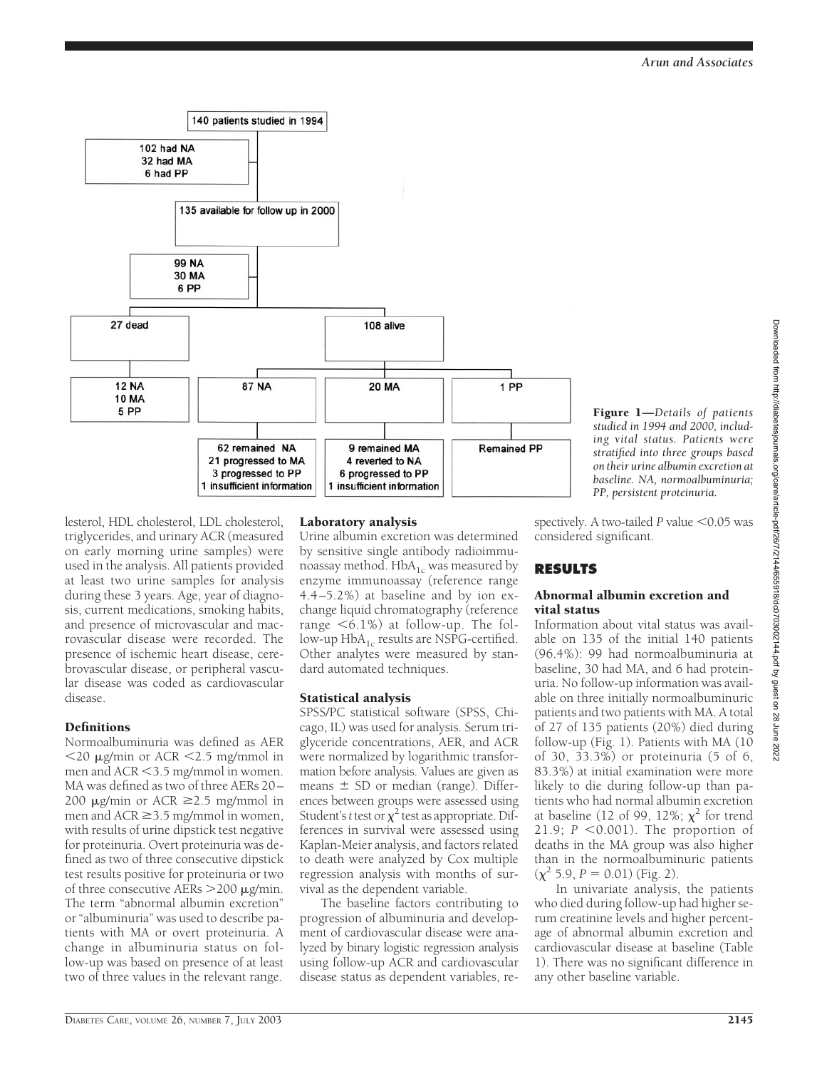

*studied in 1994 and 2000, including vital status. Patients were stratified into three groups based on their urine albumin excretion at baseline. NA, normoalbuminuria; PP, persistent proteinuria.*

Figure 1—*Details of patients*

lesterol, HDL cholesterol, LDL cholesterol, triglycerides, and urinary ACR (measured on early morning urine samples) were used in the analysis. All patients provided at least two urine samples for analysis during these 3 years. Age, year of diagnosis, current medications, smoking habits, and presence of microvascular and macrovascular disease were recorded. The presence of ischemic heart disease, cerebrovascular disease, or peripheral vascular disease was coded as cardiovascular disease.

# **Definitions**

Normoalbuminuria was defined as AER  $\langle 20 \mu$ g/min or ACR  $\langle 2.5 \mu$ g/mmol in men and ACR < 3.5 mg/mmol in women. MA was defined as two of three AERs 20– 200  $\mu$ g/min or ACR  $\geq$ 2.5 mg/mmol in men and ACR  $\geq$  3.5 mg/mmol in women, with results of urine dipstick test negative for proteinuria. Overt proteinuria was defined as two of three consecutive dipstick test results positive for proteinuria or two of three consecutive AERs  $>$  200  $\mu$ g/min. The term "abnormal albumin excretion" or "albuminuria" was used to describe patients with MA or overt proteinuria. A change in albuminuria status on follow-up was based on presence of at least two of three values in the relevant range.

# Laboratory analysis

Urine albumin excretion was determined by sensitive single antibody radioimmunoassay method.  $HbA_{1c}$  was measured by enzyme immunoassay (reference range 4.4 –5.2%) at baseline and by ion exchange liquid chromatography (reference range  $\leq 6.1\%$ ) at follow-up. The follow-up HbA<sub>1c</sub> results are NSPG-certified. Other analytes were measured by standard automated techniques.

# Statistical analysis

SPSS/PC statistical software (SPSS, Chicago, IL) was used for analysis. Serum triglyceride concentrations, AER, and ACR were normalized by logarithmic transformation before analysis. Values are given as means  $\pm$  SD or median (range). Differences between groups were assessed using Student's *t* test or  $\chi^2$  test as appropriate. Differences in survival were assessed using Kaplan-Meier analysis, and factors related to death were analyzed by Cox multiple regression analysis with months of survival as the dependent variable.

The baseline factors contributing to progression of albuminuria and development of cardiovascular disease were analyzed by binary logistic regression analysis using follow-up ACR and cardiovascular disease status as dependent variables, respectively. A two-tailed  $P$  value  $<$  0.05 was considered significant.

# **RESULTS**

#### Abnormal albumin excretion and vital status

Information about vital status was available on 135 of the initial 140 patients (96.4%): 99 had normoalbuminuria at baseline, 30 had MA, and 6 had proteinuria. No follow-up information was available on three initially normoalbuminuric patients and two patients with MA. A total of 27 of 135 patients (20%) died during follow-up (Fig. 1). Patients with MA (10 of 30, 33.3%) or proteinuria (5 of 6, 83.3%) at initial examination were more likely to die during follow-up than patients who had normal albumin excretion at baseline (12 of 99, 12%;  $\chi^2$  for trend 21.9;  $P < 0.001$ ). The proportion of deaths in the MA group was also higher than in the normoalbuminuric patients  $(\chi^2 5.9, P = 0.01)$  (Fig. 2).

In univariate analysis, the patients who died during follow-up had higher serum creatinine levels and higher percentage of abnormal albumin excretion and cardiovascular disease at baseline (Table 1). There was no significant difference in any other baseline variable.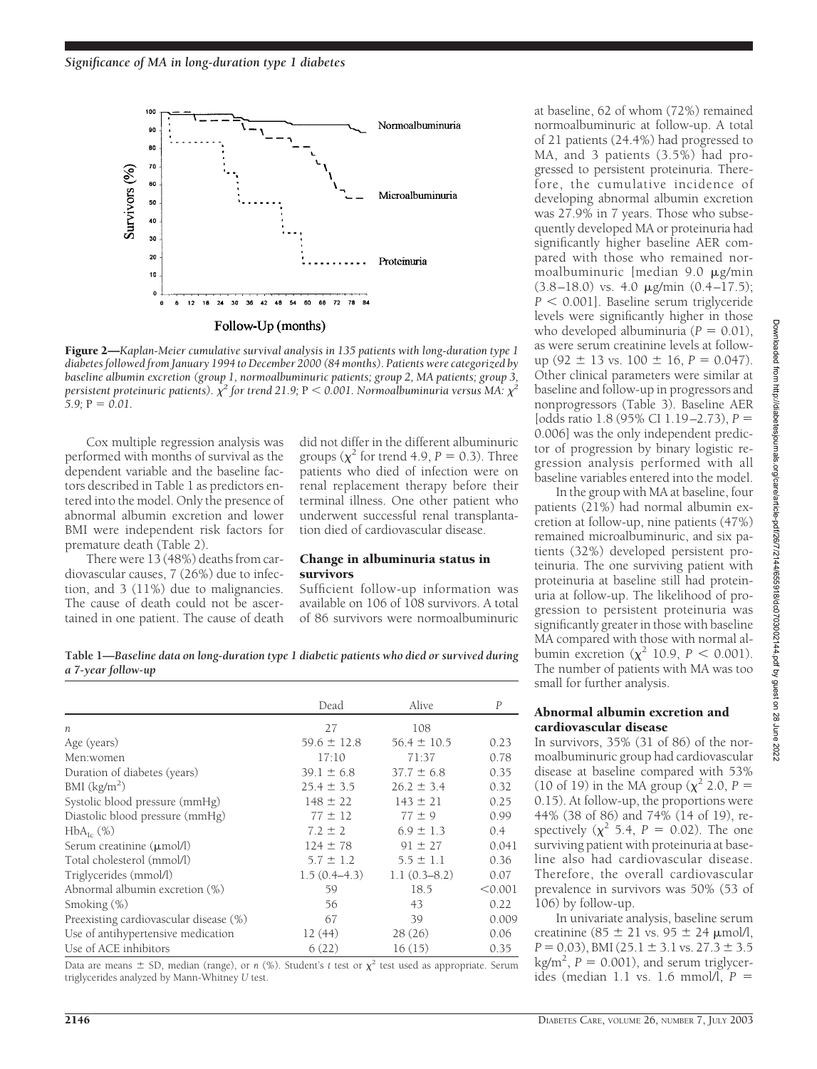

Figure 2—*Kaplan-Meier cumulative survival analysis in 135 patients with long-duration type 1 diabetes followed from January 1994 to December 2000 (84 months). Patients were categorized by baseline albumin excretion (group 1, normoalbuminuric patients; group 2, MA patients; group 3,* persistent proteinuric patients).  $\chi^2$  for trend 21.9; P  $<$  0.001. Normoalbuminuria versus MA:  $\chi^2$  $5.9$ ;  $P = 0.01$ .

Cox multiple regression analysis was performed with months of survival as the dependent variable and the baseline factors described in Table 1 as predictors entered into the model. Only the presence of abnormal albumin excretion and lower BMI were independent risk factors for premature death (Table 2).

There were 13 (48%) deaths from cardiovascular causes, 7 (26%) due to infection, and 3 (11%) due to malignancies. The cause of death could not be ascertained in one patient. The cause of death did not differ in the different albuminuric groups ( $\chi^2$  for trend 4.9, *P* = 0.3). Three patients who died of infection were on renal replacement therapy before their terminal illness. One other patient who underwent successful renal transplantation died of cardiovascular disease.

#### Change in albuminuria status in survivors

Sufficient follow-up information was available on 106 of 108 survivors. A total of 86 survivors were normoalbuminuric

**Table 1—***Baseline data on long-duration type 1 diabetic patients who died or survived during a 7-year follow-up*

|                                        | Dead            | Alive           | $\boldsymbol{P}$ |
|----------------------------------------|-----------------|-----------------|------------------|
| $\boldsymbol{n}$                       | 27              | 108             |                  |
| Age (years)                            | $59.6 \pm 12.8$ | $56.4 \pm 10.5$ | 0.23             |
| Men:women                              | 17:10           | 71:37           | 0.78             |
| Duration of diabetes (years)           | $39.1 \pm 6.8$  | $37.7 \pm 6.8$  | 0.35             |
| BMI (kg/m <sup>2</sup> )               | $25.4 \pm 3.5$  | $26.2 \pm 3.4$  | 0.32             |
| Systolic blood pressure (mmHg)         | $148 \pm 22$    | $143 \pm 21$    | 0.25             |
| Diastolic blood pressure (mmHg)        | $77 \pm 12$     | $77 \pm 9$      | 0.99             |
| $HbA_{\text{L}}(\%)$                   | $7.2 \pm 2$     | $6.9 \pm 1.3$   | $0.4^{\circ}$    |
| Serum creatinine $(\mu \text{mol/l})$  | $124 \pm 78$    | $91 \pm 27$     | 0.041            |
| Total cholesterol (mmol/l)             | $5.7 \pm 1.2$   | $5.5 \pm 1.1$   | 0.36             |
| Triglycerides (mmol/l)                 | $1.5(0.4-4.3)$  | $1.1(0.3-8.2)$  | 0.07             |
| Abnormal albumin excretion (%)         | 59              | 18.5            | < 0.001          |
| Smoking (%)                            | 56              | 43              | 0.22             |
| Preexisting cardiovascular disease (%) | 67              | 39              | 0.009            |
| Use of antihypertensive medication     | 12(44)          | 28(26)          | 0.06             |
| Use of ACE inhibitors                  | 6(22)           | 16(15)          | 0.35             |

Data are means  $\pm$  SD, median (range), or *n* (%). Student's *t* test or  $\chi^2$  test used as appropriate. Serum triglycerides analyzed by Mann-Whitney *U* test.

at baseline, 62 of whom (72%) remained normoalbuminuric at follow-up. A total of 21 patients (24.4%) had progressed to MA, and 3 patients (3.5%) had progressed to persistent proteinuria. Therefore, the cumulative incidence of developing abnormal albumin excretion was 27.9% in 7 years. Those who subsequently developed MA or proteinuria had significantly higher baseline AER compared with those who remained normoalbuminuric [median  $9.0 \mu$ g/min  $(3.8–18.0)$  vs. 4.0  $\mu$ g/min  $(0.4–17.5)$ ;  $P < 0.001$ . Baseline serum triglyceride levels were significantly higher in those who developed albuminuria  $(P = 0.01)$ , as were serum creatinine levels at followup (92  $\pm$  13 vs. 100  $\pm$  16, *P* = 0.047). Other clinical parameters were similar at baseline and follow-up in progressors and nonprogressors (Table 3). Baseline AER [odds ratio 1.8 (95% CI 1.19–2.73), *P* 0.006] was the only independent predictor of progression by binary logistic regression analysis performed with all baseline variables entered into the model.

In the group with MA at baseline, four patients (21%) had normal albumin excretion at follow-up, nine patients (47%) remained microalbuminuric, and six patients (32%) developed persistent proteinuria. The one surviving patient with proteinuria at baseline still had proteinuria at follow-up. The likelihood of progression to persistent proteinuria was significantly greater in those with baseline MA compared with those with normal albumin excretion ( $\chi^2$  10.9, *P* < 0.001). The number of patients with MA was too small for further analysis.

#### Abnormal albumin excretion and cardiovascular disease

In survivors, 35% (31 of 86) of the normoalbuminuric group had cardiovascular disease at baseline compared with 53% (10 of 19) in the MA group ( $\chi^2$  2.0, *P* = 0.15). At follow-up, the proportions were 44% (38 of 86) and 74% (14 of 19), respectively  $(\chi^2$  5.4,  $P = 0.02)$ . The one surviving patient with proteinuria at baseline also had cardiovascular disease. Therefore, the overall cardiovascular prevalence in survivors was 50% (53 of 106) by follow-up.

In univariate analysis, baseline serum creatinine ( $85 \pm 21$  vs.  $95 \pm 24$  µmol/l,  $P = 0.03$ ), BMI (25.1  $\pm$  3.1 vs. 27.3  $\pm$  3.5  $\text{kg/m}^2$ ,  $P = 0.001$ ), and serum triglycerides (median 1.1 vs. 1.6 mmol/l, *P*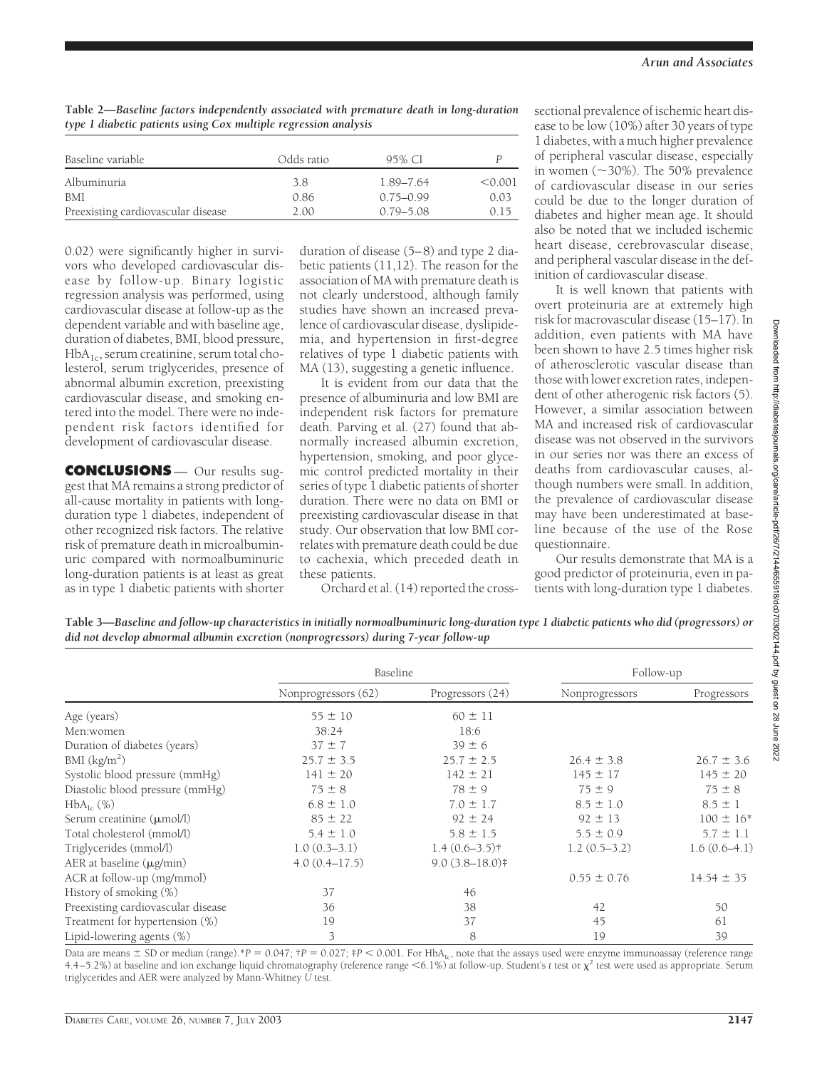**Table 2—***Baseline factors independently associated with premature death in long-duration type 1 diabetic patients using Cox multiple regression analysis*

| Baseline variable                  | Odds ratio | 95% CI        |         |
|------------------------------------|------------|---------------|---------|
| Albuminuria                        | 3.8        | 1.89–7.64     | < 0.001 |
| BMI                                | 0.86       | $0.75 - 0.99$ | 0.03    |
| Preexisting cardiovascular disease | 2.00       | $0.79 - 5.08$ | 0.15    |

0.02) were significantly higher in survivors who developed cardiovascular disease by follow-up. Binary logistic regression analysis was performed, using cardiovascular disease at follow-up as the dependent variable and with baseline age, duration of diabetes, BMI, blood pressure,  $HbA<sub>1c</sub>$ , serum creatinine, serum total cholesterol, serum triglycerides, presence of abnormal albumin excretion, preexisting cardiovascular disease, and smoking entered into the model. There were no independent risk factors identified for development of cardiovascular disease.

**CONCLUSIONS** — Our results suggest that MA remains a strong predictor of all-cause mortality in patients with longduration type 1 diabetes, independent of other recognized risk factors. The relative risk of premature death in microalbuminuric compared with normoalbuminuric long-duration patients is at least as great as in type 1 diabetic patients with shorter

duration of disease (5–8) and type 2 diabetic patients (11,12). The reason for the association of MA with premature death is not clearly understood, although family studies have shown an increased prevalence of cardiovascular disease, dyslipidemia, and hypertension in first-degree relatives of type 1 diabetic patients with MA (13), suggesting a genetic influence.

It is evident from our data that the presence of albuminuria and low BMI are independent risk factors for premature death. Parving et al. (27) found that abnormally increased albumin excretion, hypertension, smoking, and poor glycemic control predicted mortality in their series of type 1 diabetic patients of shorter duration. There were no data on BMI or preexisting cardiovascular disease in that study. Our observation that low BMI correlates with premature death could be due to cachexia, which preceded death in these patients.

Orchard et al. (14) reported the cross-

sectional prevalence of ischemic heart disease to be low (10%) after 30 years of type 1 diabetes, with a much higher prevalence of peripheral vascular disease, especially in women  $(\sim 30\%)$ . The 50% prevalence of cardiovascular disease in our series could be due to the longer duration of diabetes and higher mean age. It should also be noted that we included ischemic heart disease, cerebrovascular disease, and peripheral vascular disease in the definition of cardiovascular disease.

It is well known that patients with overt proteinuria are at extremely high risk for macrovascular disease (15–17). In addition, even patients with MA have been shown to have 2.5 times higher risk of atherosclerotic vascular disease than those with lower excretion rates, independent of other atherogenic risk factors (5). However, a similar association between MA and increased risk of cardiovascular disease was not observed in the survivors in our series nor was there an excess of deaths from cardiovascular causes, although numbers were small. In addition, the prevalence of cardiovascular disease may have been underestimated at baseline because of the use of the Rose questionnaire.

Our results demonstrate that MA is a good predictor of proteinuria, even in patients with long-duration type 1 diabetes.

**Table 3—***Baseline and follow-up characteristics in initially normoalbuminuric long-duration type 1 diabetic patients who did (progressors) or did not develop abnormal albumin excretion (nonprogressors) during 7-year follow-up*

|                                       | Baseline            |                  | Follow-up       |                |
|---------------------------------------|---------------------|------------------|-----------------|----------------|
|                                       | Nonprogressors (62) | Progressors (24) | Nonprogressors  | Progressors    |
| Age (years)                           | $55 \pm 10$         | $60 \pm 11$      |                 |                |
| Men:women                             | 38:24               | 18:6             |                 |                |
| Duration of diabetes (years)          | $37 \pm 7$          | $39 \pm 6$       |                 |                |
| BMI (kg/m <sup>2</sup> )              | $25.7 \pm 3.5$      | $25.7 \pm 2.5$   | $26.4 \pm 3.8$  | $26.7 \pm 3.6$ |
| Systolic blood pressure (mmHg)        | $141 \pm 20$        | $142 \pm 21$     | $145 \pm 17$    | $145 \pm 20$   |
| Diastolic blood pressure (mmHg)       | $75 \pm 8$          | $78 \pm 9$       | $75 \pm 9$      | $75 \pm 8$     |
| $HbA_{\text{Ic}}(\%)$                 | $6.8 \pm 1.0$       | $7.0 \pm 1.7$    | $8.5 \pm 1.0$   | $8.5 \pm 1$    |
| Serum creatinine $(\mu \text{mol/l})$ | $85 \pm 22$         | $92 \pm 24$      | $92 \pm 13$     | $100 \pm 16*$  |
| Total cholesterol (mmol/l)            | $5.4 \pm 1.0$       | $5.8 \pm 1.5$    | $5.5 \pm 0.9$   | $5.7 \pm 1.1$  |
| Triglycerides (mmol/l)                | $1.0(0.3-3.1)$      | $1.4(0.6-3.5)$ † | $1.2(0.5-3.2)$  | $1.6(0.6-4.1)$ |
| AER at baseline (µg/min)              | 4.0(0.4–17.5)       | $9.0(3.8-18.0)$  |                 |                |
| ACR at follow-up (mg/mmol)            |                     |                  | $0.55 \pm 0.76$ | $14.54 \pm 35$ |
| History of smoking (%)                | 37                  | 46               |                 |                |
| Preexisting cardiovascular disease    | 36                  | 38               | 42              | 50             |
| Treatment for hypertension (%)        | 19                  | 37               | 45              | 61             |
| Lipid-lowering agents $(\%)$          | 3                   | 8                | 19              | 39             |

Data are means  $\pm$  SD or median (range).\**P* = 0.047;  $\uparrow$ *P* = 0.027;  $\uparrow$ *P* < 0.001. For HbA<sub>Ic</sub>, note that the assays used were enzyme immunoassay (reference range 4.4–5.2%) at baseline and ion exchange liquid chromatography (reference range <6.1%) at follow-up. Student's *t* test or  $\chi^2$  test were used as appropriate. Serum triglycerides and AER were analyzed by Mann-Whitney *U* test.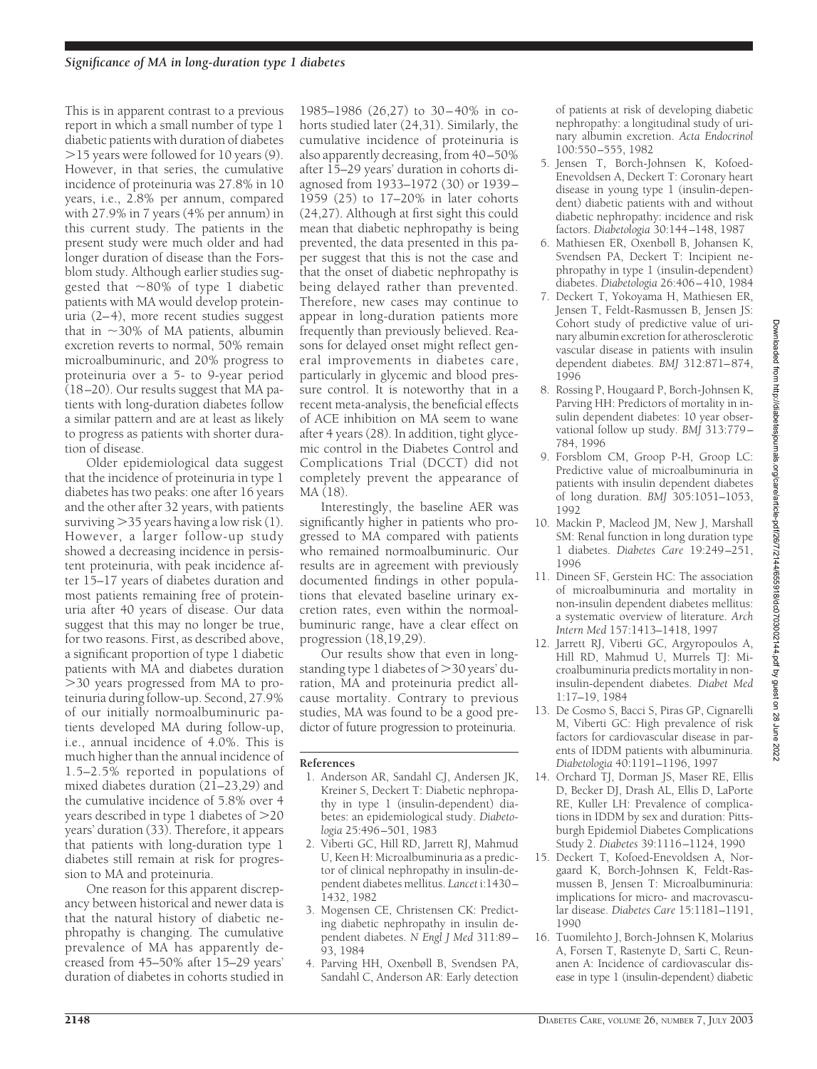This is in apparent contrast to a previous report in which a small number of type 1 diabetic patients with duration of diabetes  $>$ 15 years were followed for 10 years (9). However, in that series, the cumulative incidence of proteinuria was 27.8% in 10 years, i.e., 2.8% per annum, compared with 27.9% in 7 years (4% per annum) in this current study. The patients in the present study were much older and had longer duration of disease than the Forsblom study. Although earlier studies suggested that  $\sim 80\%$  of type 1 diabetic patients with MA would develop proteinuria (2–4), more recent studies suggest that in  $\sim$ 30% of MA patients, albumin excretion reverts to normal, 50% remain microalbuminuric, and 20% progress to proteinuria over a 5- to 9-year period  $(18–20)$ . Our results suggest that MA patients with long-duration diabetes follow a similar pattern and are at least as likely to progress as patients with shorter duration of disease.

Older epidemiological data suggest that the incidence of proteinuria in type 1 diabetes has two peaks: one after 16 years and the other after 32 years, with patients surviving  $>$ 35 years having a low risk (1). However, a larger follow-up study showed a decreasing incidence in persistent proteinuria, with peak incidence after 15–17 years of diabetes duration and most patients remaining free of proteinuria after 40 years of disease. Our data suggest that this may no longer be true, for two reasons. First, as described above, a significant proportion of type 1 diabetic patients with MA and diabetes duration 30 years progressed from MA to proteinuria during follow-up. Second, 27.9% of our initially normoalbuminuric patients developed MA during follow-up, i.e., annual incidence of 4.0%. This is much higher than the annual incidence of 1.5–2.5% reported in populations of mixed diabetes duration (21–23,29) and the cumulative incidence of 5.8% over 4 years described in type 1 diabetes of 20 years' duration (33). Therefore, it appears that patients with long-duration type 1 diabetes still remain at risk for progression to MA and proteinuria.

One reason for this apparent discrepancy between historical and newer data is that the natural history of diabetic nephropathy is changing. The cumulative prevalence of MA has apparently decreased from 45–50% after 15–29 years' duration of diabetes in cohorts studied in

1985–1986 (26,27) to 30–40% in cohorts studied later (24,31). Similarly, the cumulative incidence of proteinuria is also apparently decreasing, from 40–50% after 15–29 years' duration in cohorts diagnosed from 1933–1972 (30) or 1939– 1959 (25) to 17–20% in later cohorts (24,27). Although at first sight this could mean that diabetic nephropathy is being prevented, the data presented in this paper suggest that this is not the case and that the onset of diabetic nephropathy is being delayed rather than prevented. Therefore, new cases may continue to appear in long-duration patients more frequently than previously believed. Reasons for delayed onset might reflect general improvements in diabetes care, particularly in glycemic and blood pressure control. It is noteworthy that in a recent meta-analysis, the beneficial effects of ACE inhibition on MA seem to wane after 4 years (28). In addition, tight glycemic control in the Diabetes Control and Complications Trial (DCCT) did not completely prevent the appearance of MA (18).

Interestingly, the baseline AER was significantly higher in patients who progressed to MA compared with patients who remained normoalbuminuric. Our results are in agreement with previously documented findings in other populations that elevated baseline urinary excretion rates, even within the normoalbuminuric range, have a clear effect on progression (18,19,29).

Our results show that even in longstanding type 1 diabetes of  $>$ 30 years' duration, MA and proteinuria predict allcause mortality. Contrary to previous studies, MA was found to be a good predictor of future progression to proteinuria.

## **References**

- 1. Anderson AR, Sandahl CJ, Andersen JK, Kreiner S, Deckert T: Diabetic nephropathy in type 1 (insulin-dependent) diabetes: an epidemiological study. *Diabetologia* 25:496–501, 1983
- 2. Viberti GC, Hill RD, Jarrett RJ, Mahmud U, Keen H: Microalbuminuria as a predictor of clinical nephropathy in insulin-dependent diabetes mellitus. *Lancet* i:1430– 1432, 1982
- 3. Mogensen CE, Christensen CK: Predicting diabetic nephropathy in insulin dependent diabetes. *N Engl J Med* 311:89– 93, 1984
- 4. Parving HH, Oxenbøll B, Svendsen PA, Sandahl C, Anderson AR: Early detection

of patients at risk of developing diabetic nephropathy: a longitudinal study of urinary albumin excretion. *Acta Endocrinol* 100:550–555, 1982

- 5. Jensen T, Borch-Johnsen K, Kofoed-Enevoldsen A, Deckert T: Coronary heart disease in young type 1 (insulin-dependent) diabetic patients with and without diabetic nephropathy: incidence and risk factors. *Diabetologia* 30:144–148, 1987
- 6. Mathiesen ER, Oxenbøll B, Johansen K, Svendsen PA, Deckert T: Incipient nephropathy in type 1 (insulin-dependent) diabetes. *Diabetologia* 26:406–410, 1984
- 7. Deckert T, Yokoyama H, Mathiesen ER, Jensen T, Feldt-Rasmussen B, Jensen JS: Cohort study of predictive value of urinary albumin excretion for atherosclerotic vascular disease in patients with insulin dependent diabetes. *BMJ* 312:871–874, 1996
- 8. Rossing P, Hougaard P, Borch-Johnsen K, Parving HH: Predictors of mortality in insulin dependent diabetes: 10 year observational follow up study. *BMJ* 313:779– 784, 1996
- 9. Forsblom CM, Groop P-H, Groop LC: Predictive value of microalbuminuria in patients with insulin dependent diabetes of long duration. *BMJ* 305:1051–1053, 1992
- 10. Mackin P, Macleod JM, New J, Marshall SM: Renal function in long duration type 1 diabetes. *Diabetes Care* 19:249–251, 1996
- 11. Dineen SF, Gerstein HC: The association of microalbuminuria and mortality in non-insulin dependent diabetes mellitus: a systematic overview of literature. *Arch Intern Med* 157:1413–1418, 1997
- 12. Jarrett RJ, Viberti GC, Argyropoulos A, Hill RD, Mahmud U, Murrels TJ: Microalbuminuria predicts mortality in noninsulin-dependent diabetes. *Diabet Med* 1:17–19, 1984
- 13. De Cosmo S, Bacci S, Piras GP, Cignarelli M, Viberti GC: High prevalence of risk factors for cardiovascular disease in parents of IDDM patients with albuminuria. *Diabetologia* 40:1191–1196, 1997
- 14. Orchard TJ, Dorman JS, Maser RE, Ellis D, Becker DJ, Drash AL, Ellis D, LaPorte RE, Kuller LH: Prevalence of complications in IDDM by sex and duration: Pittsburgh Epidemiol Diabetes Complications Study 2. *Diabetes* 39:1116–1124, 1990
- 15. Deckert T, Kofoed-Enevoldsen A, Norgaard K, Borch-Johnsen K, Feldt-Rasmussen B, Jensen T: Microalbuminuria: implications for micro- and macrovascular disease. *Diabetes Care* 15:1181–1191, 1990
- 16. Tuomilehto J, Borch-Johnsen K, Molarius A, Forsen T, Rastenyte D, Sarti C, Reunanen A: Incidence of cardiovascular disease in type 1 (insulin-dependent) diabetic